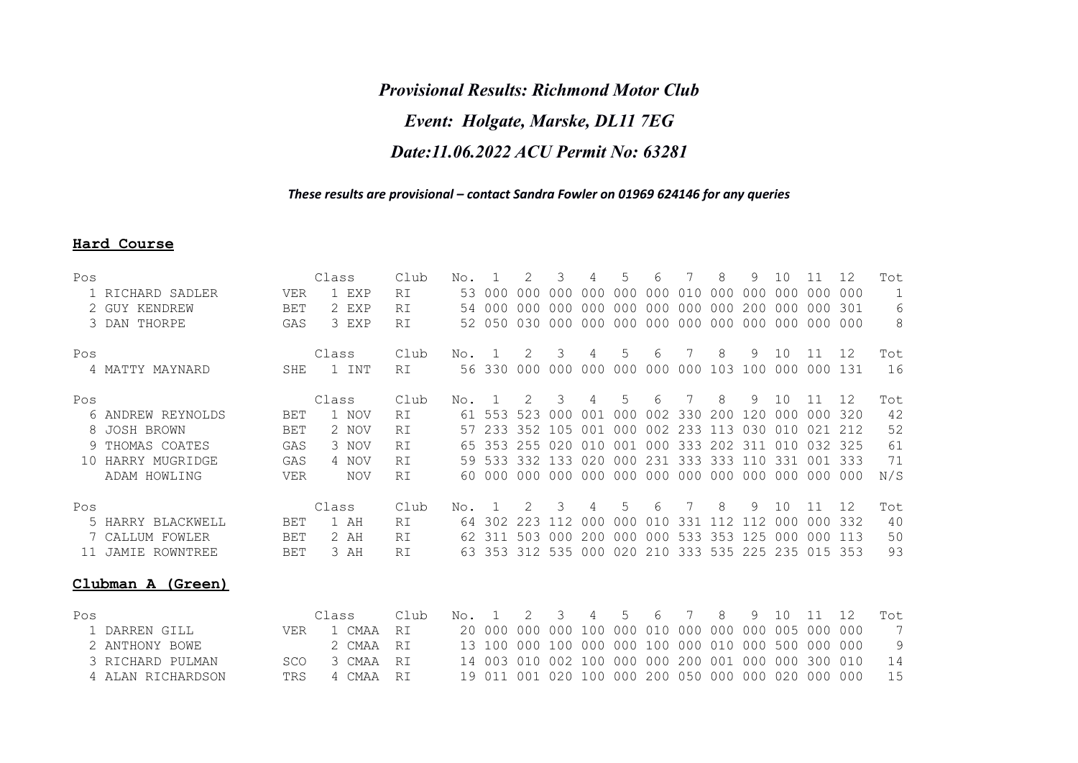## *Provisional Results: Richmond Motor Club Event: Holgate, Marske, DL11 7EG Date:11.06.2022 ACU Permit No: 63281*

## *These results are provisional – contact Sandra Fowler on 01969 624146 for any queries*

## **Hard Course**

| Pos | 1 RICHARD SADLER<br>2 GUY KENDREW<br>3 DAN THORPE | VER<br><b>BET</b><br>GAS | Class<br>1 EXP<br>2 EXP<br>3 EXP | Club<br>RI<br>RI<br>RI | No.<br>53<br>54<br>52 | 000<br>000<br>050 | 000<br>nnn<br>0.30 | 000<br>000<br>000 | 000<br>000<br>000 | 5<br>000<br>000<br>000 | 6<br>000<br>000<br>000 | 010<br>000<br>000 | 8<br>000<br>000<br>000 | 9<br>000<br>200<br>000 | 1 O<br>000<br>000<br>000 | 11<br>000<br>000<br>000 000 | 12<br>000<br>301 | Tot<br>$\mathbf{1}$<br>6<br>8 |
|-----|---------------------------------------------------|--------------------------|----------------------------------|------------------------|-----------------------|-------------------|--------------------|-------------------|-------------------|------------------------|------------------------|-------------------|------------------------|------------------------|--------------------------|-----------------------------|------------------|-------------------------------|
| Pos | 4 MATTY MAYNARD                                   | SHE                      | Class<br>1 INT                   | Club<br>RI             | No.<br>56             | 330               | 2<br>000           | 3<br>000          | 4<br>000          | 5<br>000               | 6<br>000               | 000               | 8<br>103               | 9<br>100               | 10<br>000                | 11<br>000                   | 12<br>131        | Tot<br>16                     |
| Pos |                                                   |                          | Class                            | Club                   | No.                   |                   |                    | 3                 | 4                 | 5                      | 6                      |                   | 8                      | 9                      | 10                       | 11                          | 12               | Tot                           |
|     | 6 ANDREW REYNOLDS                                 | <b>BET</b>               | 1 NOV                            | RI                     | 61                    | 553               | 523                | 0.00              | 0 <sub>0</sub> 1  | 000                    | 002                    | 330               | 200                    | 120                    | 000                      | 000                         | 320              | 42                            |
|     | 8 JOSH BROWN                                      | <b>BET</b>               | 2 NOV                            | RI                     | 57                    | 233               | 352                | 105               | 001               | 000                    | 002                    | 233               | 113                    | 030                    | 010                      | 021                         | 212              | 52                            |
|     | 9 THOMAS COATES                                   | GAS                      | 3 NOV                            | RI                     | 65                    | 353               | 255                | 020               | 01 Q              | 001                    | 000                    | 333               | 202                    | -311                   | 010                      | 0.32                        | -325             | 61                            |
| 1 O | HARRY MUGRIDGE                                    | GAS                      | 4 NOV                            | RI                     | 59                    | 533               | 332                | 133               | 020               | 000                    | 231                    | 333               | 333                    | 11 N                   | 331                      | 0 <sub>0</sub> 1            | 333              | 71                            |
|     | ADAM HOWLING                                      | <b>VER</b>               | <b>NOV</b>                       | RI                     | 60                    | 000               | 0 Q Q              | 000               | 000               | 000 000 000 000 000    |                        |                   |                        |                        | 000                      | 000                         | 000              | N/S                           |
| Pos |                                                   |                          | Class                            | Club                   | No.                   |                   |                    | 3                 | 4                 | 5                      | 6                      |                   | 8                      | 9                      | 1 O                      | 11                          | 12               | Tot                           |
|     | 5 HARRY BLACKWELL                                 | BET                      | 1 AH                             | RI                     | 64                    | 302               | 223                | 112               | 000               | 000                    | 010                    | 331               | 112                    | 112                    | 000                      | 000                         | 332              | 40                            |
|     | 7 CALLUM FOWLER                                   | <b>BET</b>               | 2 AH                             | RI                     | 62                    | 311               | 503                | 000               | 200               | 000                    | 000                    | 533               | 353                    | 125                    | 000                      | 000                         | 113              | 50                            |
| 11  | JAMIE ROWNTREE                                    | BET                      | 3 AH                             | RI                     | 63                    | 353               | 312                | 535               | 000               | 020                    | 210                    | 333               | 535                    | 225                    | 235                      | 015                         | 353              | 93                            |
|     | Clubman A (Green)                                 |                          |                                  |                        |                       |                   |                    |                   |                   |                        |                        |                   |                        |                        |                          |                             |                  |                               |

| Pos |                   |      | Class |               | Club | No. 1 2 3 4 5 6 7 8 9 10 11 12 |  |  |  |  |  |                                                       | Tot. |
|-----|-------------------|------|-------|---------------|------|--------------------------------|--|--|--|--|--|-------------------------------------------------------|------|
|     | 1 DARREN GILL     | VER  |       | 1 CMAA RI     |      |                                |  |  |  |  |  |                                                       |      |
|     | 2 ANTHONY BOWE    |      |       | 2 CMAA RI     |      |                                |  |  |  |  |  |                                                       | - Q  |
|     | 3 RICHARD PULMAN  |      |       | SCO 3 CMAA RT |      |                                |  |  |  |  |  | 14 003 010 002 100 000 000 200 001 000 000 300 010    | 14   |
|     | 4 ALAN RICHARDSON | TRS. |       | 4 CMAA RT     |      |                                |  |  |  |  |  | 19 011 001 020 100 000 200 050 000 000 020 000 000 15 |      |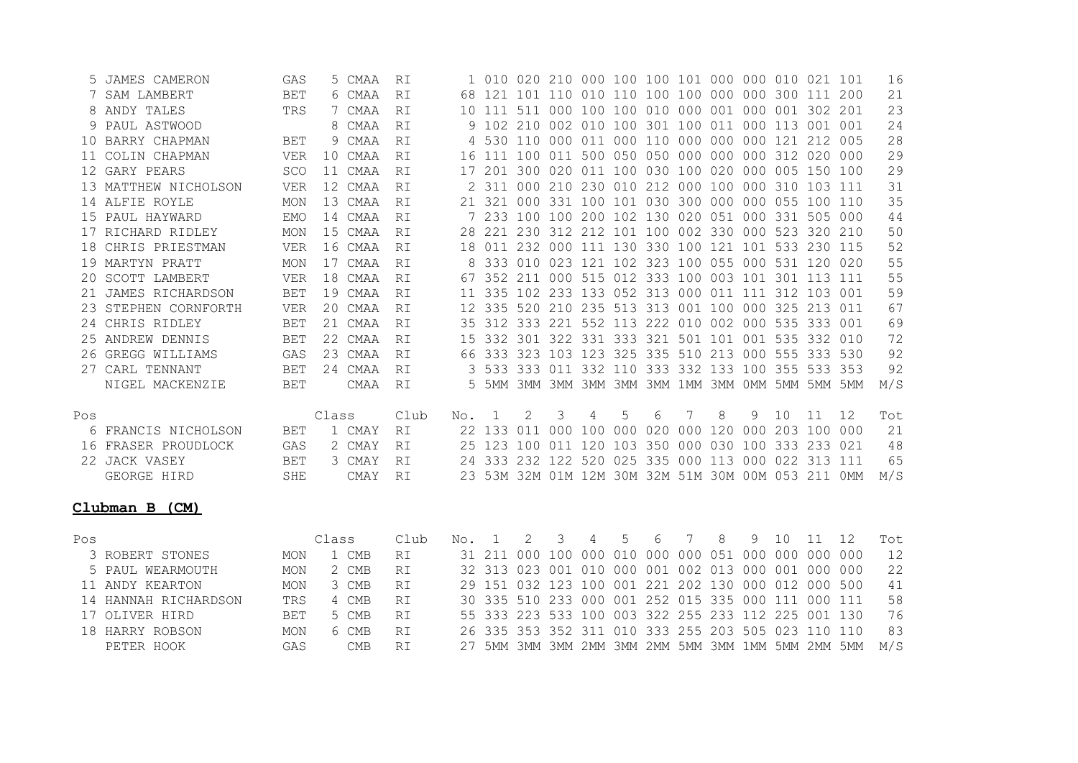|        | JAMES CAMERON        | GAS        |       | 5 CMAA      | RI   |     | 1 010  |               |   |   |    |   | 020 210 000 100 100 101 000 000 010 021 101     |   |   |    |    |     | 16  |
|--------|----------------------|------------|-------|-------------|------|-----|--------|---------------|---|---|----|---|-------------------------------------------------|---|---|----|----|-----|-----|
|        | SAM LAMBERT          | <b>BET</b> |       | 6 CMAA      | RI   | 68  |        |               |   |   |    |   | 121 101 110 010 110 100 100 000 000 300 111 200 |   |   |    |    |     | 21  |
|        | ANDY TALES           | TRS        | 7.    | CMAA        | RI   | 1 O |        | 111 511       |   |   |    |   | 000 100 100 010 000 001 000 001 302 201         |   |   |    |    |     | 23  |
|        | PAUL ASTWOOD         |            | 8     | CMAA        | RI   |     | 102    | 210           |   |   |    |   | 002 010 100 301 100 011 000 113 001 001         |   |   |    |    |     | 24  |
|        | 10 BARRY CHAPMAN     | <b>BET</b> | 9     | CMAA        | RI   |     |        |               |   |   |    |   | 530 110 000 011 000 110 000 000 000 121 212 005 |   |   |    |    |     | 28  |
| 11.    | COLIN CHAPMAN        | VER        | 10    | CMAA        | RI   | 16  |        |               |   |   |    |   | 111 100 011 500 050 050 000 000 000 312 020 000 |   |   |    |    |     | 29  |
| 12     | GARY PEARS           | <b>SCO</b> |       | 11 CMAA     | RI   |     |        |               |   |   |    |   | 201 300 020 011 100 030 100 020 000 005 150 100 |   |   |    |    |     | 29  |
|        | 13 MATTHEW NICHOLSON | <b>VER</b> |       | 12 CMAA     | RI   |     | 311    |               |   |   |    |   | 000 210 230 010 212 000 100 000 310 103 111     |   |   |    |    |     | 31  |
|        | 14 ALFIE ROYLE       | MON        |       | 13 CMAA     | RI   |     | 321    |               |   |   |    |   | 000 331 100 101 030 300 000 000 055 100 110     |   |   |    |    |     | 35  |
| 15     | PAUL HAYWARD         | <b>EMO</b> |       | 14 CMAA     | RI   |     |        |               |   |   |    |   | 233 100 100 200 102 130 020 051 000 331 505 000 |   |   |    |    |     | 44  |
| 17     | RICHARD RIDLEY       | MON        |       | 15 CMAA     | RI   |     | 221    |               |   |   |    |   | 230 312 212 101 100 002 330 000 523 320 210     |   |   |    |    |     | 50  |
| 18     | CHRIS PRIESTMAN      | <b>VER</b> |       | 16 CMAA     | RI   | 18  |        |               |   |   |    |   | 011 232 000 111 130 330 100 121 101 533 230 115 |   |   |    |    |     | 52  |
|        | 19 MARTYN PRATT      | MON        |       | 17 CMAA     | RI   |     |        |               |   |   |    |   | 333 010 023 121 102 323 100 055 000 531 120 020 |   |   |    |    |     | 55  |
| 20.    | SCOTT LAMBERT        | VER        |       | 18 CMAA     | RI   |     |        | 352 211       |   |   |    |   | 000 515 012 333 100 003 101 301 113 111         |   |   |    |    |     | 55  |
| 21     | JAMES RICHARDSON     | <b>BET</b> |       | 19 CMAA     | RI   |     |        |               |   |   |    |   | 335 102 233 133 052 313 000 011 111 312 103 001 |   |   |    |    |     | 59  |
| 23     | STEPHEN CORNFORTH    | VER        |       | 20 CMAA     | RI   | 12  |        |               |   |   |    |   | 335 520 210 235 513 313 001 100 000 325 213 011 |   |   |    |    |     | 67  |
| $24 -$ | CHRIS RIDLEY         | <b>BET</b> |       | 21 CMAA     | RI   | 35  |        |               |   |   |    |   | 312 333 221 552 113 222 010 002 000 535 333 001 |   |   |    |    |     | 69  |
|        | 25 ANDREW DENNIS     | <b>BET</b> |       | 22 CMAA     | RI   | 1.5 |        |               |   |   |    |   | 332 301 322 331 333 321 501 101 001 535 332 010 |   |   |    |    |     | 72  |
|        | 26 GREGG WILLIAMS    | GAS        |       | 23 CMAA     | RI   | 66  |        |               |   |   |    |   | 333 323 103 123 325 335 510 213 000 555 333 530 |   |   |    |    |     | 92  |
| 27.    | CARL TENNANT         | <b>BET</b> |       | 24 CMAA     | RI   |     |        |               |   |   |    |   | 533 333 011 332 110 333 332 133 100 355 533 353 |   |   |    |    |     | 92  |
|        | NIGEL MACKENZIE      | <b>BET</b> |       | CMAA        | RI   | 5.  |        |               |   |   |    |   | 5MM 3MM 3MM 3MM 3MM 3MM 1MM 3MM 0MM 5MM 5MM 5MM |   |   |    |    |     | M/S |
| Pos    |                      |            | Class |             | Club | No. |        | $\mathcal{L}$ | 3 | 4 | .5 | 6 | 7                                               | 8 | 9 | 10 | 11 | 12  | Tot |
|        | FRANCIS NICHOLSON    | <b>BET</b> |       | 1 CMAY      | RI   |     | 22 133 | 011           |   |   |    |   | 000 100 000 020 000 120 000 203 100 000         |   |   |    |    |     | 21  |
|        | 16 FRASER PROUDLOCK  | GAS        |       | 2 CMAY      | RI   | 25  |        |               |   |   |    |   | 123 100 011 120 103 350 000 030 100 333 233 021 |   |   |    |    |     | 48  |
|        | 22 JACK VASEY        | <b>BET</b> |       | 3 CMAY      | RI   | 24  |        |               |   |   |    |   | 333 232 122 520 025 335 000 113 000 022 313     |   |   |    |    | 111 | 65  |
|        | GEORGE HIRD          | <b>SHE</b> |       | <b>CMAY</b> | RI.  | 23  |        |               |   |   |    |   | 53M 32M 01M 12M 30M 32M 51M 30M 00M 053 211 0MM |   |   |    |    |     | M/S |
|        | Clubman B (CM)       |            |       |             |      |     |        |               |   |   |    |   |                                                 |   |   |    |    |     |     |

| Pos |                      |            | Class |               | Club |  |  |  | No. 1 2 3 4 5 6 7 8 9 10 11 12                     |  |  |                                                        | Tot. |
|-----|----------------------|------------|-------|---------------|------|--|--|--|----------------------------------------------------|--|--|--------------------------------------------------------|------|
|     | 3 ROBERT STONES      | MON        |       | 1 CMB         | R T  |  |  |  |                                                    |  |  |                                                        | 12   |
|     | 5 PAUL WEARMOUTH     | MON        |       | 2 CMB         | RT.  |  |  |  | 32 313 023 001 010 000 001 002 013 000 001 000 000 |  |  |                                                        | 22   |
|     | 11 ANDY KEARTON      | MON        |       | 3 CMB         | RT.  |  |  |  | 29 151 032 123 100 001 221 202 130 000 012 000 500 |  |  |                                                        | 41   |
|     | 14 HANNAH RICHARDSON | <b>TRS</b> |       | 4 CMB         | R T  |  |  |  | 30 335 510 233 000 001 252 015 335 000 111 000 111 |  |  |                                                        | .58  |
|     | 17 OLIVER HIRD       | <b>BET</b> |       | 5 CMB         | R T  |  |  |  | 55 333 223 533 100 003 322 255 233 112 225 001 130 |  |  |                                                        | - 76 |
|     | 18 HARRY ROBSON      | MON        |       | 6 CMB         | R T  |  |  |  |                                                    |  |  | 26 335 353 352 311 010 333 255 203 505 023 110 110     | 83.  |
|     | PETER HOOK           | GAS        |       | $^{\circ}$ MR | R T  |  |  |  |                                                    |  |  | 27 5MM 3MM 3MM 2MM 3MM 2MM 5MM 3MM 1MM 5MM 2MM 5MM M/S |      |